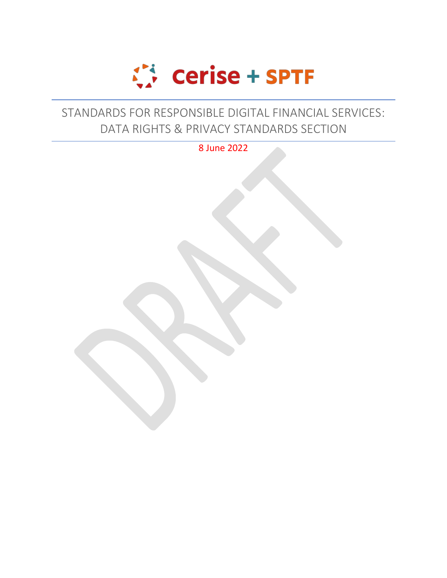

## STANDARDS FOR RESPONSIBLE DIGITAL FINANCIAL SERVICES: DATA RIGHTS & PRIVACY STANDARDS SECTION

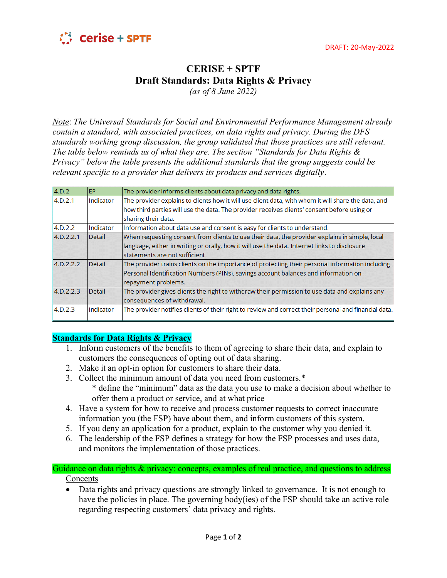

## **CERISE + SPTF Draft Standards: Data Rights & Privacy**

*(as of 8 June 2022)*

*Note*: *The Universal Standards for Social and Environmental Performance Management already contain a standard, with associated practices, on data rights and privacy. During the DFS standards working group discussion, the group validated that those practices are still relevant. The table below reminds us of what they are. The section "Standards for Data Rights & Privacy" below the table presents the additional standards that the group suggests could be relevant specific to a provider that delivers its products and services digitally*.

| 4.D.2      | EP        | The provider informs clients about data privacy and data rights.                                      |
|------------|-----------|-------------------------------------------------------------------------------------------------------|
| 4.D.2.1    | Indicator | The provider explains to clients how it will use client data, with whom it will share the data, and   |
|            |           | how third parties will use the data. The provider receives clients' consent before using or           |
|            |           | sharing their data.                                                                                   |
| 4.D.2.2    | Indicator | Information about data use and consent is easy for clients to understand.                             |
| 4.D.2.2.1  | Detail    | When requesting consent from clients to use their data, the provider explains in simple, local        |
|            |           | language, either in writing or orally, how it will use the data. Internet links to disclosure         |
|            |           | statements are not sufficient.                                                                        |
| 4. D.2.2.2 | Detail    | The provider trains clients on the importance of protecting their personal information including      |
|            |           | Personal Identification Numbers (PINs), savings account balances and information on                   |
|            |           | repayment problems.                                                                                   |
| 4.D.2.2.3  | Detail    | The provider gives clients the right to withdraw their permission to use data and explains any        |
|            |           | consequences of withdrawal.                                                                           |
| 4.D.2.3    | Indicator | The provider notifies clients of their right to review and correct their personal and financial data. |
|            |           |                                                                                                       |

## **Standards for Data Rights & Privacy**

- 1. Inform customers of the benefits to them of agreeing to share their data, and explain to customers the consequences of opting out of data sharing.
- 2. Make it an opt-in option for customers to share their data.
- 3. Collect the minimum amount of data you need from customers.\* \* define the "minimum" data as the data you use to make a decision about whether to offer them a product or service, and at what price
- 4. Have a system for how to receive and process customer requests to correct inaccurate information you (the FSP) have about them, and inform customers of this system.
- 5. If you deny an application for a product, explain to the customer why you denied it.
- 6. The leadership of the FSP defines a strategy for how the FSP processes and uses data, and monitors the implementation of those practices.

Guidance on data rights & privacy: concepts, examples of real practice, and questions to address **Concepts** 

• Data rights and privacy questions are strongly linked to governance. It is not enough to have the policies in place. The governing body(ies) of the FSP should take an active role regarding respecting customers' data privacy and rights.